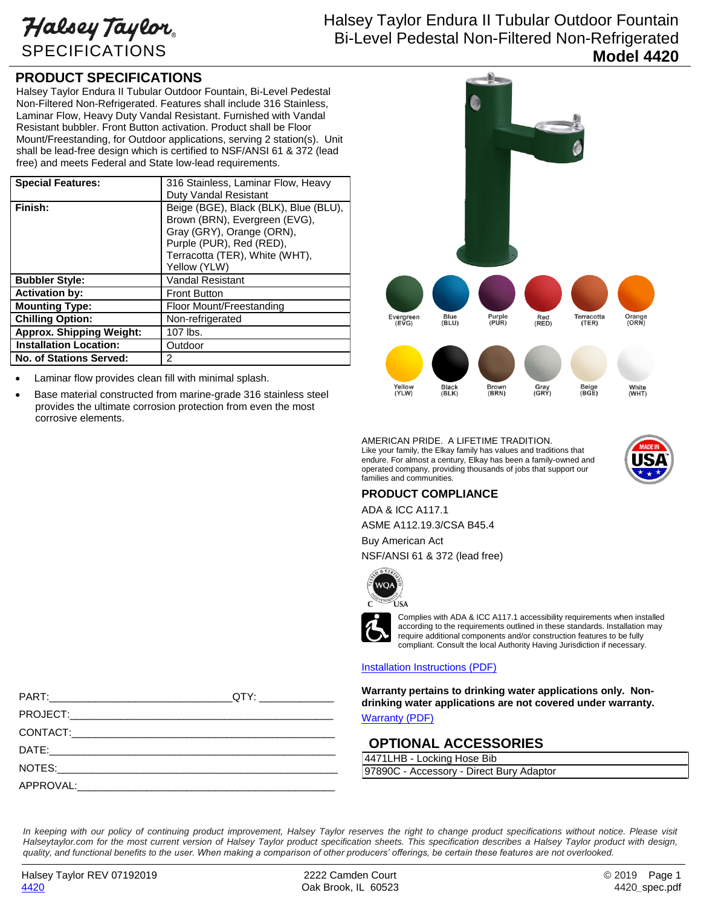Halsey Taylor SPECIFICATIONS

## Halsey Taylor Endura II Tubular Outdoor Fountain Bi-Level Pedestal Non-Filtered Non-Refrigerated **Model 4420**

### **PRODUCT SPECIFICATIONS**

Halsey Taylor Endura II Tubular Outdoor Fountain, Bi-Level Pedestal Non-Filtered Non-Refrigerated. Features shall include 316 Stainless, Laminar Flow, Heavy Duty Vandal Resistant. Furnished with Vandal Resistant bubbler. Front Button activation. Product shall be Floor Mount/Freestanding, for Outdoor applications, serving 2 station(s). Unit shall be lead-free design which is certified to NSF/ANSI 61 & 372 (lead free) and meets Federal and State low-lead requirements.

| <b>Special Features:</b>        | 316 Stainless, Laminar Flow, Heavy    |
|---------------------------------|---------------------------------------|
|                                 | Duty Vandal Resistant                 |
|                                 |                                       |
| Finish:                         | Beige (BGE), Black (BLK), Blue (BLU), |
|                                 | Brown (BRN), Evergreen (EVG),         |
|                                 |                                       |
|                                 | Gray (GRY), Orange (ORN),             |
|                                 | Purple (PUR), Red (RED),              |
|                                 | Terracotta (TER), White (WHT),        |
|                                 | Yellow (YLW)                          |
| <b>Bubbler Style:</b>           | <b>Vandal Resistant</b>               |
| <b>Activation by:</b>           | <b>Front Button</b>                   |
| <b>Mounting Type:</b>           | Floor Mount/Freestanding              |
| <b>Chilling Option:</b>         | Non-refrigerated                      |
| <b>Approx. Shipping Weight:</b> | 107 lbs.                              |
| <b>Installation Location:</b>   | Outdoor                               |
| <b>No. of Stations Served:</b>  | 2                                     |

- Laminar flow provides clean fill with minimal splash.
- Base material constructed from marine-grade 316 stainless steel provides the ultimate corrosion protection from even the most corrosive elements.



AMERICAN PRIDE. A LIFETIME TRADITION. Like your family, the Elkay family has values and traditions that endure. For almost a century, Elkay has been a family-owned and operated company, providing thousands of jobs that support our families and communities.



#### **PRODUCT COMPLIANCE**

ADA & ICC A117.1

ASME A112.19.3/CSA B45.4 Buy American Act

NSF/ANSI 61 & 372 (lead free)



Complies with ADA & ICC A117.1 accessibility requirements when installed according to the requirements outlined in these standards. Installation may require additional components and/or construction features to be fully compliant. Consult the local Authority Having Jurisdiction if necessary.

#### [Installation Instructions \(PDF\)](http://www.elkay.com/wcsstore/lkdocs/care-cleaning-install-warranty-sheets/1000003683.pdf)

**Warranty pertains to drinking water applications only. Nondrinking water applications are not covered under warranty.**

[Warranty](http://www.elkay.com/wcsstore/lkdocs/care-cleaning-install-warranty-sheets/96994c.pdf) (PDF)

#### **OPTIONAL ACCESSORIES**

4471LHB - Locking Hose Bib 97890C - Accessory - Direct Bury Adaptor

PART:\_\_\_\_\_\_\_\_\_\_\_\_\_\_\_\_\_\_\_\_\_\_\_\_\_\_\_\_\_\_\_\_QTY: \_\_\_\_\_\_\_\_\_\_\_\_\_ PROJECT:\_\_\_\_\_\_\_\_\_\_\_\_\_\_\_\_\_\_\_\_\_\_\_\_\_\_\_\_\_\_\_\_\_\_\_\_\_\_\_\_\_\_\_\_\_\_ CONTACT:\_\_\_\_\_\_\_\_\_\_\_\_\_\_\_\_\_\_\_\_\_\_\_\_\_\_\_\_\_\_\_\_\_\_\_\_\_\_\_\_\_\_\_\_\_\_ DATE:\_\_\_\_\_\_\_\_\_\_\_\_\_\_\_\_\_\_\_\_\_\_\_\_\_\_\_\_\_\_\_\_\_\_\_\_\_\_\_\_\_\_\_\_\_\_\_\_\_\_ NOTES:  $APPROVAL: \_$ 

In keeping with our policy of continuing product improvement, Halsey Taylor reserves the right to change product specifications without notice. Please visit *Halseytaylor.com for the most current version of Halsey Taylor product specification sheets. This specification describes a Halsey Taylor product with design, quality, and functional benefits to the user. When making a comparison of other producers' offerings, be certain these features are not overlooked.*